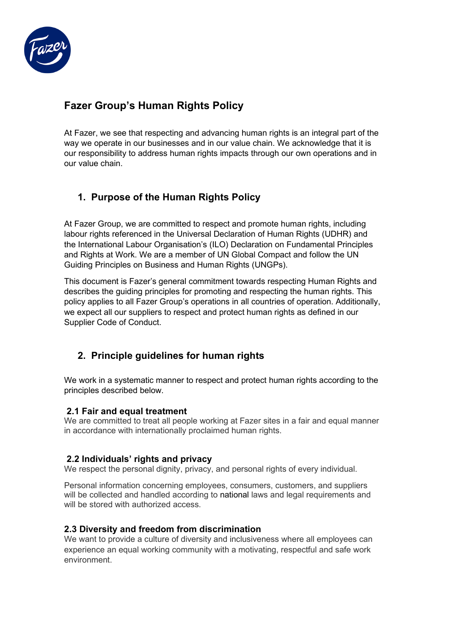

# **Fazer Group's Human Rights Policy**

At Fazer, we see that respecting and advancing human rights is an integral part of the way we operate in our businesses and in our value chain. We acknowledge that it is our responsibility to address human rights impacts through our own operations and in our value chain.

## **1. Purpose of the Human Rights Policy**

At Fazer Group, we are committed to respect and promote human rights, including labour rights referenced in the Universal Declaration of Human Rights (UDHR) and the International Labour Organisation's (ILO) Declaration on Fundamental Principles and Rights at Work. We are a member of UN Global Compact and follow the UN Guiding Principles on Business and Human Rights (UNGPs).

This document is Fazer's general commitment towards respecting Human Rights and describes the guiding principles for promoting and respecting the human rights. This policy applies to all Fazer Group's operations in all countries of operation. Additionally, we expect all our suppliers to respect and protect human rights as defined in our Supplier Code of Conduct.

## **2. Principle guidelines for human rights**

We work in a systematic manner to respect and protect human rights according to the principles described below.

### **2.1 Fair and equal treatment**

We are committed to treat all people working at Fazer sites in a fair and equal manner in accordance with internationally proclaimed human rights.

### **2.2 Individuals' rights and privacy**

We respect the personal dignity, privacy, and personal rights of every individual.

Personal information concerning employees, consumers, customers, and suppliers will be collected and handled according to national laws and legal requirements and will be stored with authorized access.

### **2.3 Diversity and freedom from discrimination**

We want to provide a culture of diversity and inclusiveness where all employees can experience an equal working community with a motivating, respectful and safe work environment.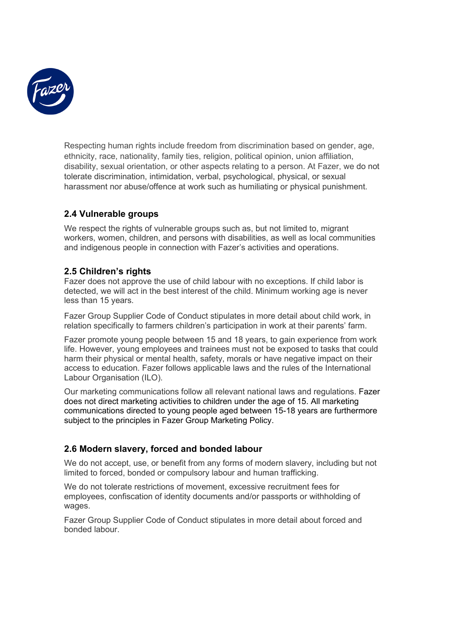

Respecting human rights include freedom from discrimination based on gender, age, ethnicity, race, nationality, family ties, religion, political opinion, union affiliation, disability, sexual orientation, or other aspects relating to a person. At Fazer, we do not tolerate discrimination, intimidation, verbal, psychological, physical, or sexual harassment nor abuse/offence at work such as humiliating or physical punishment.

### **2.4 Vulnerable groups**

We respect the rights of vulnerable groups such as, but not limited to, migrant workers, women, children, and persons with disabilities, as well as local communities and indigenous people in connection with Fazer's activities and operations.

### **2.5 Children's rights**

Fazer does not approve the use of child labour with no exceptions. If child labor is detected, we will act in the best interest of the child. Minimum working age is never less than 15 years.

Fazer Group Supplier Code of Conduct stipulates in more detail about child work, in relation specifically to farmers children's participation in work at their parents' farm.

Fazer promote young people between 15 and 18 years, to gain experience from work life. However, young employees and trainees must not be exposed to tasks that could harm their physical or mental health, safety, morals or have negative impact on their access to education. Fazer follows applicable laws and the rules of the International Labour Organisation (ILO).

Our marketing communications follow all relevant national laws and regulations. Fazer does not direct marketing activities to children under the age of 15. All marketing communications directed to young people aged between 15-18 years are furthermore subject to the principles in Fazer Group Marketing Policy.

### **2.6 Modern slavery, forced and bonded labour**

We do not accept, use, or benefit from any forms of modern slavery, including but not limited to forced, bonded or compulsory labour and human trafficking.

We do not tolerate restrictions of movement, excessive recruitment fees for employees, confiscation of identity documents and/or passports or withholding of wages.

Fazer Group Supplier Code of Conduct stipulates in more detail about forced and bonded labour.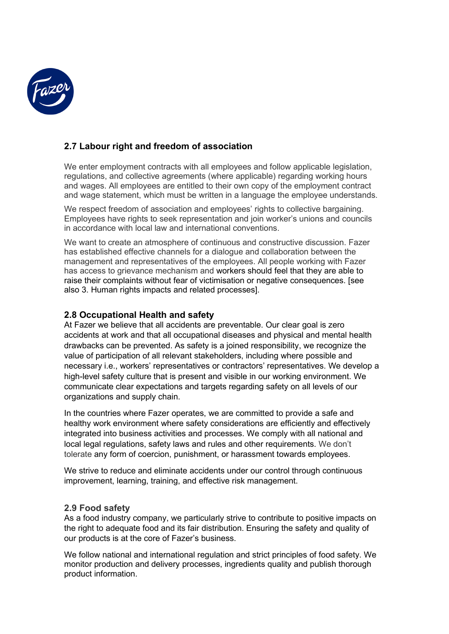

### **2.7 Labour right and freedom of association**

We enter employment contracts with all employees and follow applicable legislation, regulations, and collective agreements (where applicable) regarding working hours and wages. All employees are entitled to their own copy of the employment contract and wage statement, which must be written in a language the employee understands.

We respect freedom of association and employees' rights to collective bargaining. Employees have rights to seek representation and join worker's unions and councils in accordance with local law and international conventions.

We want to create an atmosphere of continuous and constructive discussion. Fazer has established effective channels for a dialogue and collaboration between the management and representatives of the employees. All people working with Fazer has access to grievance mechanism and workers should feel that they are able to raise their complaints without fear of victimisation or negative consequences. [see also 3. Human rights impacts and related processes].

#### **2.8 Occupational Health and safety**

At Fazer we believe that all accidents are preventable. Our clear goal is zero accidents at work and that all occupational diseases and physical and mental health drawbacks can be prevented. As safety is a joined responsibility, we recognize the value of participation of all relevant stakeholders, including where possible and necessary i.e., workers' representatives or contractors' representatives. We develop a high-level safety culture that is present and visible in our working environment. We communicate clear expectations and targets regarding safety on all levels of our organizations and supply chain.

In the countries where Fazer operates, we are committed to provide a safe and healthy work environment where safety considerations are efficiently and effectively integrated into business activities and processes. We comply with all national and local legal regulations, safety laws and rules and other requirements. We don't tolerate any form of coercion, punishment, or harassment towards employees.

We strive to reduce and eliminate accidents under our control through continuous improvement, learning, training, and effective risk management.

#### **2.9 Food safety**

As a food industry company, we particularly strive to contribute to positive impacts on the right to adequate food and its fair distribution. Ensuring the safety and quality of our products is at the core of Fazer's business.

We follow national and international regulation and strict principles of food safety. We monitor production and delivery processes, ingredients quality and publish thorough product information.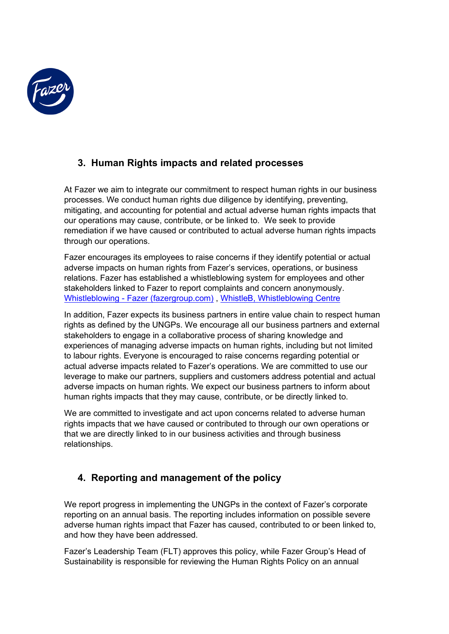

## **3. Human Rights impacts and related processes**

At Fazer we aim to integrate our commitment to respect human rights in our business processes. We conduct human rights due diligence by identifying, preventing, mitigating, and accounting for potential and actual adverse human rights impacts that our operations may cause, contribute, or be linked to. We seek to provide remediation if we have caused or contributed to actual adverse human rights impacts through our operations.

Fazer encourages its employees to raise concerns if they identify potential or actual adverse impacts on human rights from Fazer's services, operations, or business relations. Fazer has established a whistleblowing system for employees and other stakeholders linked to Fazer to report complaints and concern anonymously. Whistleblowing - [Fazer \(fazergroup.com\)](https://www.fazergroup.com/sustainability/whistleblowing/) , [WhistleB, Whistleblowing Centre](https://report.whistleb.com/en/fazer)

In addition, Fazer expects its business partners in entire value chain to respect human rights as defined by the UNGPs. We encourage all our business partners and external stakeholders to engage in a collaborative process of sharing knowledge and experiences of managing adverse impacts on human rights, including but not limited to labour rights. Everyone is encouraged to raise concerns regarding potential or actual adverse impacts related to Fazer's operations. We are committed to use our leverage to make our partners, suppliers and customers address potential and actual adverse impacts on human rights. We expect our business partners to inform about human rights impacts that they may cause, contribute, or be directly linked to.

We are committed to investigate and act upon concerns related to adverse human rights impacts that we have caused or contributed to through our own operations or that we are directly linked to in our business activities and through business relationships.

## **4. Reporting and management of the policy**

We report progress in implementing the UNGPs in the context of Fazer's corporate reporting on an annual basis. The reporting includes information on possible severe adverse human rights impact that Fazer has caused, contributed to or been linked to, and how they have been addressed.

Fazer's Leadership Team (FLT) approves this policy, while Fazer Group's Head of Sustainability is responsible for reviewing the Human Rights Policy on an annual